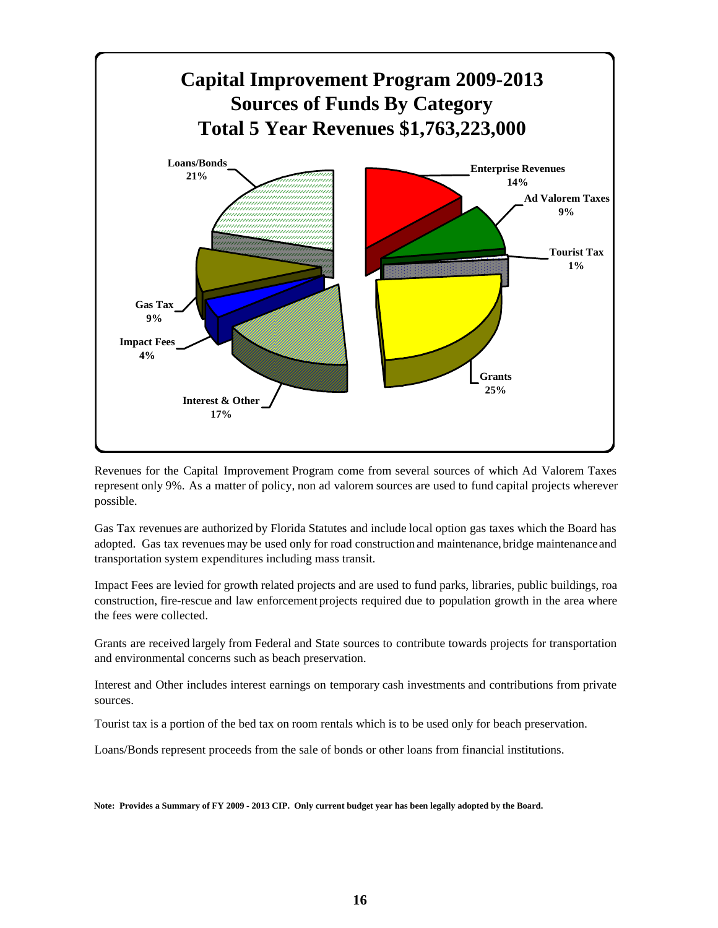

Revenues for the Capital Improvement Program come from several sources of which Ad Valorem Taxes represent only 9%. As a matter of policy, non ad valorem sources are used to fund capital projects wherever possible.

Gas Tax revenues are authorized by Florida Statutes and include local option gas taxes which the Board has adopted. Gas tax revenues may be used only for road construction and maintenance,bridge maintenanceand transportation system expenditures including mass transit.

Impact Fees are levied for growth related projects and are used to fund parks, libraries, public buildings, roa construction, fire-rescue and law enforcement projects required due to population growth in the area where the fees were collected.

Grants are received largely from Federal and State sources to contribute towards projects for transportation and environmental concerns such as beach preservation.

Interest and Other includes interest earnings on temporary cash investments and contributions from private sources.

Tourist tax is a portion of the bed tax on room rentals which is to be used only for beach preservation.

Loans/Bonds represent proceeds from the sale of bonds or other loans from financial institutions.

**Note: Provides a Summary of FY 2009 - 2013 CIP. Only current budget year has been legally adopted by the Board.**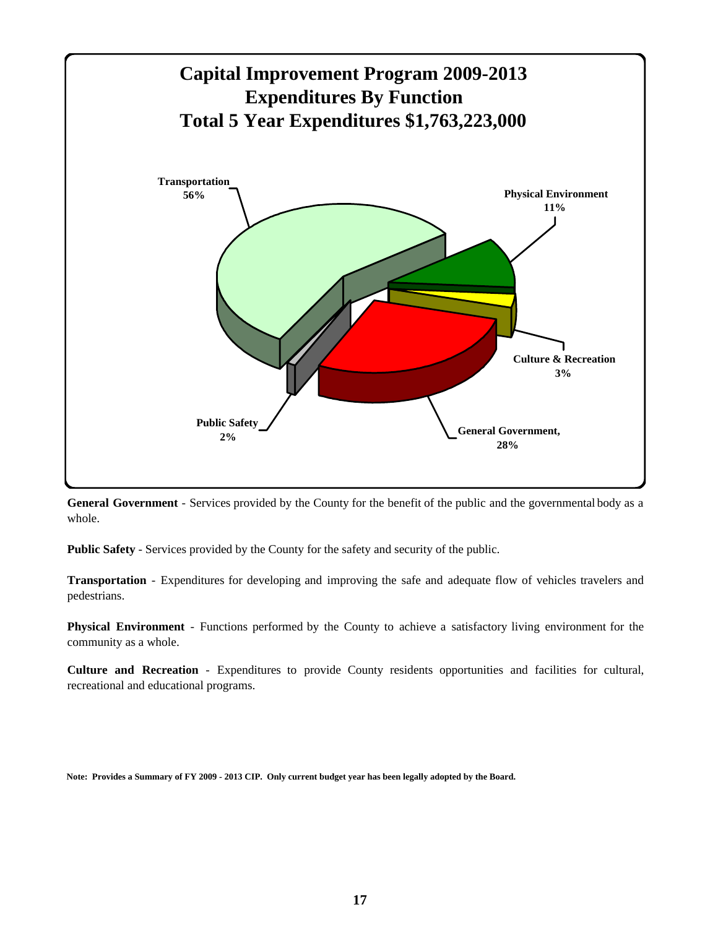

**General Government** - Services provided by the County for the benefit of the public and the governmental body as a whole.

**Public Safety** - Services provided by the County for the safety and security of the public.

**Transportation** - Expenditures for developing and improving the safe and adequate flow of vehicles travelers and pedestrians.

**Physical Environment** - Functions performed by the County to achieve a satisfactory living environment for the community as a whole.

**Culture and Recreation** - Expenditures to provide County residents opportunities and facilities for cultural, recreational and educational programs.

**Note: Provides a Summary of FY 2009 - 2013 CIP. Only current budget year has been legally adopted by the Board.**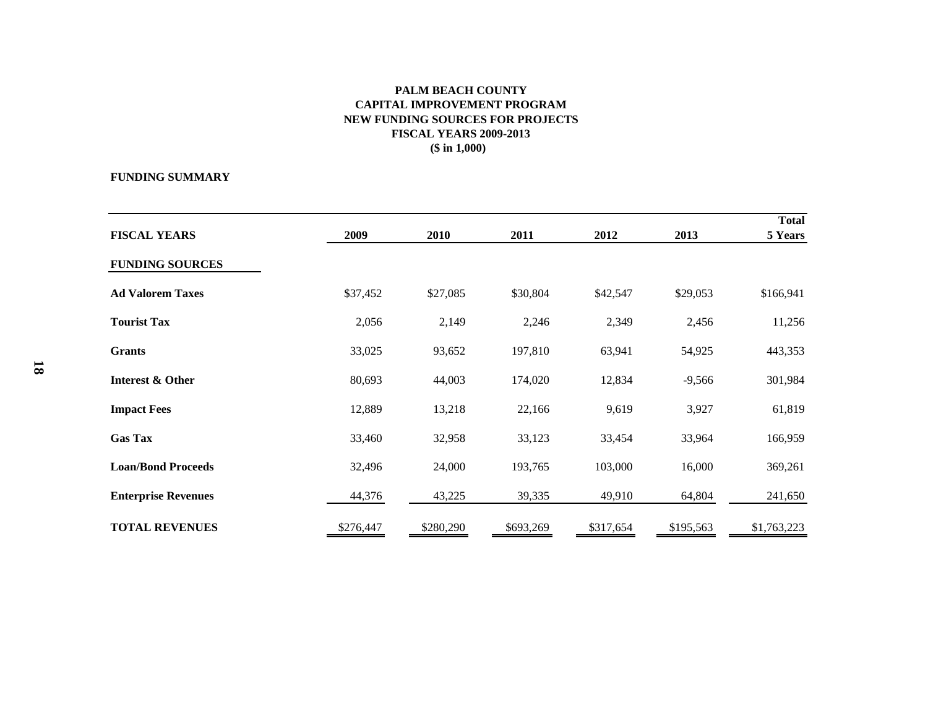## **PALM BEACH COUNTY CAPITAL IMPROVEMENT PROGRAM NEW FUNDING SOURCES FOR PROJECTS FISCAL YEARS 2009-2013 (\$ in 1,000)**

## **FUNDING SUMMARY**

|                             |           |           |           |           |           | <b>Total</b> |
|-----------------------------|-----------|-----------|-----------|-----------|-----------|--------------|
| <b>FISCAL YEARS</b>         | 2009      | 2010      | 2011      | 2012      | 2013      | 5 Years      |
| <b>FUNDING SOURCES</b>      |           |           |           |           |           |              |
| <b>Ad Valorem Taxes</b>     | \$37,452  | \$27,085  | \$30,804  | \$42,547  | \$29,053  | \$166,941    |
| <b>Tourist Tax</b>          | 2,056     | 2,149     | 2,246     | 2,349     | 2,456     | 11,256       |
| <b>Grants</b>               | 33,025    | 93,652    | 197,810   | 63,941    | 54,925    | 443,353      |
| <b>Interest &amp; Other</b> | 80,693    | 44,003    | 174,020   | 12,834    | $-9,566$  | 301,984      |
| <b>Impact Fees</b>          | 12,889    | 13,218    | 22,166    | 9,619     | 3,927     | 61,819       |
| <b>Gas Tax</b>              | 33,460    | 32,958    | 33,123    | 33,454    | 33,964    | 166,959      |
| <b>Loan/Bond Proceeds</b>   | 32,496    | 24,000    | 193,765   | 103,000   | 16,000    | 369,261      |
| <b>Enterprise Revenues</b>  | 44,376    | 43,225    | 39,335    | 49,910    | 64,804    | 241,650      |
| <b>TOTAL REVENUES</b>       | \$276,447 | \$280,290 | \$693,269 | \$317,654 | \$195,563 | \$1,763,223  |